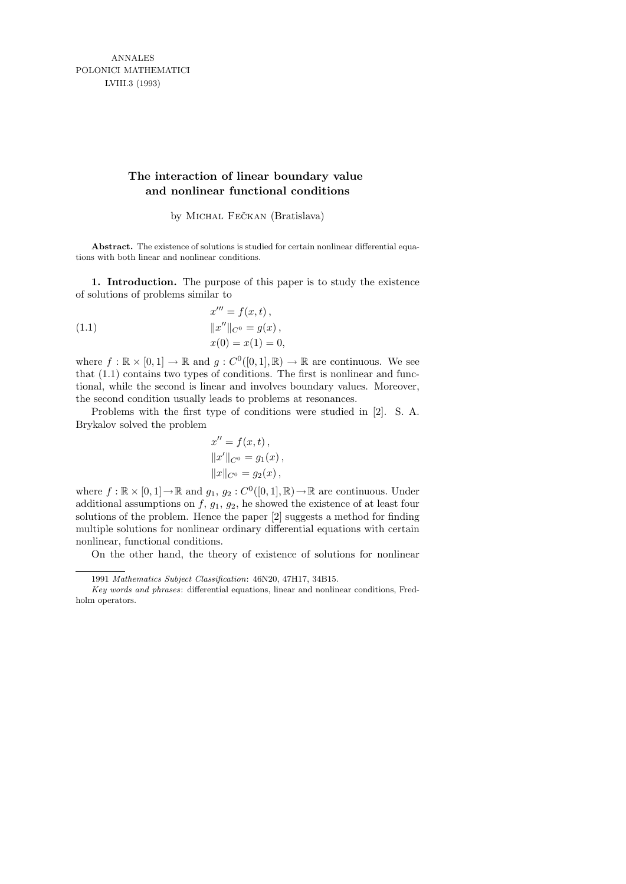ANNALES POLONICI MATHEMATICI LVIII.3 (1993)

## **The interaction of linear boundary value and nonlinear functional conditions**

by MICHAL FEČKAN (Bratislava)

**Abstract.** The existence of solutions is studied for certain nonlinear differential equations with both linear and nonlinear conditions.

1. Introduction. The purpose of this paper is to study the existence of solutions of problems similar to

(1.1) 
$$
x''' = f(x, t),
$$

$$
||x''||_{C^{0}} = g(x),
$$

$$
x(0) = x(1) = 0
$$

where  $f : \mathbb{R} \times [0,1] \to \mathbb{R}$  and  $g : C^{0}([0,1], \mathbb{R}) \to \mathbb{R}$  are continuous. We see that (1.1) contains two types of conditions. The first is nonlinear and functional, while the second is linear and involves boundary values. Moreover, the second condition usually leads to problems at resonances.

Problems with the first type of conditions were studied in [2]. S. A. Brykalov solved the problem

$$
x'' = f(x, t),
$$
  

$$
||x'||_{C^0} = g_1(x),
$$
  

$$
||x||_{C^0} = g_2(x),
$$

where  $f : \mathbb{R} \times [0,1] \to \mathbb{R}$  and  $g_1, g_2 : C^0([0,1], \mathbb{R}) \to \mathbb{R}$  are continuous. Under additional assumptions on  $f$ ,  $g_1$ ,  $g_2$ , he showed the existence of at least four solutions of the problem. Hence the paper [2] suggests a method for finding multiple solutions for nonlinear ordinary differential equations with certain nonlinear, functional conditions.

On the other hand, the theory of existence of solutions for nonlinear

<sup>1991</sup> *Mathematics Subject Classification*: 46N20, 47H17, 34B15.

*Key words and phrases*: differential equations, linear and nonlinear conditions, Fredholm operators.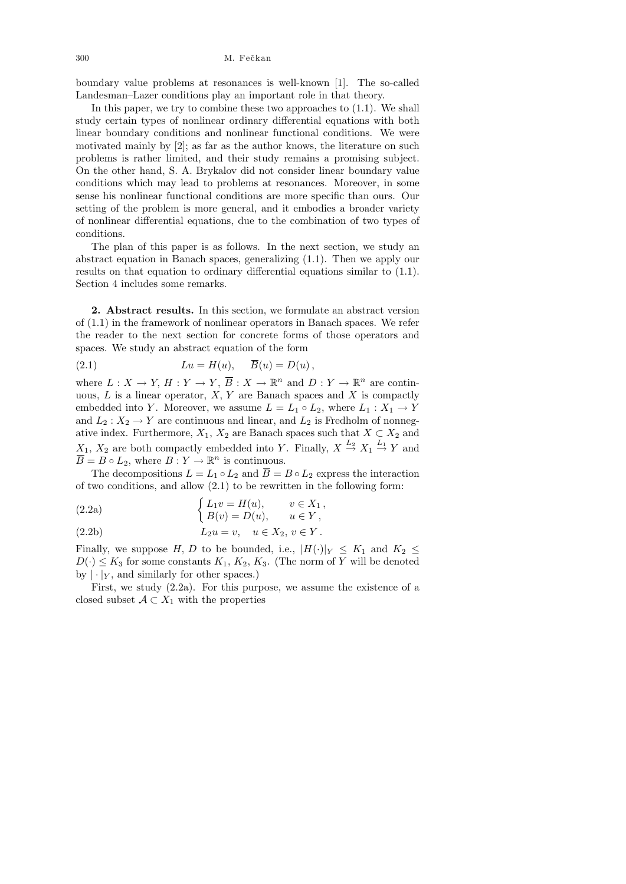boundary value problems at resonances is well-known [1]. The so-called Landesman–Lazer conditions play an important role in that theory.

In this paper, we try to combine these two approaches to (1.1). We shall study certain types of nonlinear ordinary differential equations with both linear boundary conditions and nonlinear functional conditions. We were motivated mainly by [2]; as far as the author knows, the literature on such problems is rather limited, and their study remains a promising subject. On the other hand, S. A. Brykalov did not consider linear boundary value conditions which may lead to problems at resonances. Moreover, in some sense his nonlinear functional conditions are more specific than ours. Our setting of the problem is more general, and it embodies a broader variety of nonlinear differential equations, due to the combination of two types of conditions.

The plan of this paper is as follows. In the next section, we study an abstract equation in Banach spaces, generalizing (1.1). Then we apply our results on that equation to ordinary differential equations similar to (1.1). Section 4 includes some remarks.

2. Abstract results. In this section, we formulate an abstract version of (1.1) in the framework of nonlinear operators in Banach spaces. We refer the reader to the next section for concrete forms of those operators and spaces. We study an abstract equation of the form

(2.1) 
$$
Lu = H(u), \quad \overline{B}(u) = D(u),
$$

where  $L: X \to Y$ ,  $H: Y \to Y$ ,  $\overline{B}: X \to \mathbb{R}^n$  and  $D: Y \to \mathbb{R}^n$  are continuous,  $L$  is a linear operator,  $X, Y$  are Banach spaces and  $X$  is compactly embedded into Y. Moreover, we assume  $L = L_1 \circ L_2$ , where  $L_1 : X_1 \to Y$ and  $L_2: X_2 \to Y$  are continuous and linear, and  $L_2$  is Fredholm of nonnegative index. Furthermore,  $X_1, X_2$  are Banach spaces such that  $X \subset X_2$  and  $X_1, X_2$  are both compactly embedded into Y. Finally,  $X \stackrel{L_2}{\rightarrow} X_1 \stackrel{L_1}{\rightarrow} Y$  and  $\overline{B} = B \circ L_2$ , where  $B: Y \to \mathbb{R}^n$  is continuous.

The decompositions  $L = L_1 \circ L_2$  and  $\overline{B} = B \circ L_2$  express the interaction of two conditions, and allow (2.1) to be rewritten in the following form:

(2.2a) 
$$
\begin{cases} L_1 v = H(u), & v \in X_1, \\ B(v) = D(u), & u \in Y, \end{cases}
$$

(2.2b) 
$$
L_2 u = v, \quad u \in X_2, v \in Y.
$$

Finally, we suppose H, D to be bounded, i.e.,  $|H(\cdot)|_Y \leq K_1$  and  $K_2 \leq$  $D(\cdot) \leq K_3$  for some constants  $K_1, K_2, K_3$ . (The norm of Y will be denoted by  $|\cdot|_Y$ , and similarly for other spaces.)

First, we study (2.2a). For this purpose, we assume the existence of a closed subset  $A \subset X_1$  with the properties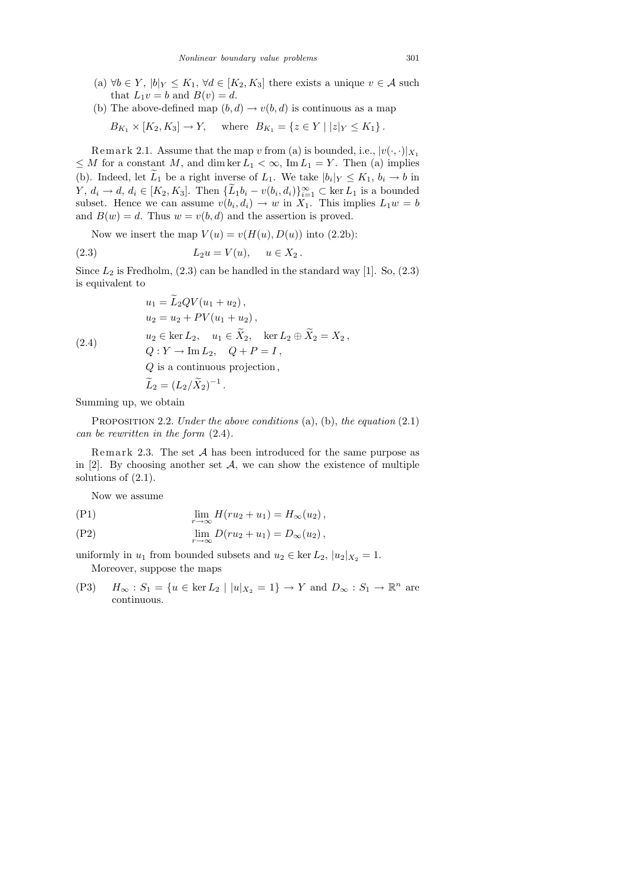- (a)  $\forall b \in Y, |b|_Y \leq K_1, \forall d \in [K_2, K_3]$  there exists a unique  $v \in \mathcal{A}$  such that  $L_1v = b$  and  $B(v) = d$ .
- (b) The above-defined map  $(b, d) \rightarrow v(b, d)$  is continuous as a map

$$
B_{K_1} \times [K_2, K_3] \to Y
$$
, where  $B_{K_1} = \{ z \in Y \mid |z|_Y \le K_1 \}$ .

Remark 2.1. Assume that the map v from (a) is bounded, i.e.,  $|v(\cdot,\cdot)|_{X_1}$  $\leq M$  for a constant M, and dim ker  $L_1 < \infty$ , Im  $L_1 = Y$ . Then (a) implies (b). Indeed, let  $L_1$  be a right inverse of  $L_1$ . We take  $|b_i|_Y \leq K_1$ ,  $b_i \to b$  in  $Y, d_i \rightarrow d, d_i \in [K_2, K_3]$ . Then  $\{\tilde{L}_1 b_i - v(b_i, d_i)\}_{i=1}^{\infty} \subset \ker L_1$  is a bounded subset. Hence we can assume  $v(b_i, d_i) \to w$  in  $X_1$ . This implies  $L_1w = b$ and  $B(w) = d$ . Thus  $w = v(b, d)$  and the assertion is proved.

Now we insert the map  $V(u) = v(H(u), D(u))$  into (2.2b):

$$
(2.3) \t\t\t L_2 u = V(u), \t u \in X_2.
$$

Since  $L_2$  is Fredholm, (2.3) can be handled in the standard way [1]. So, (2.3) is equivalent to

$$
u_1 = L_2 QV(u_1 + u_2),
$$
  
\n
$$
u_2 = u_2 + PV(u_1 + u_2),
$$
  
\n
$$
u_2 \in \ker L_2, \quad u_1 \in \tilde{X}_2, \quad \ker L_2 \oplus \tilde{X}_2 = X_2,
$$
  
\n
$$
Q: Y \to \text{Im } L_2, \quad Q + P = I,
$$
  
\n
$$
Q \text{ is a continuous projection},
$$
  
\n
$$
\tilde{L}_2 = (L_2/\tilde{X}_2)^{-1}.
$$

Summing up, we obtain

PROPOSITION 2.2. Under the above conditions  $(a)$ ,  $(b)$ , the equation  $(2.1)$ can be rewritten in the form (2.4).

Remark 2.3. The set  $A$  has been introduced for the same purpose as in [2]. By choosing another set  $\mathcal{A}$ , we can show the existence of multiple solutions of (2.1).

Now we assume

$$
\lim_{r \to \infty} H(ru_2 + u_1) = H_{\infty}(u_2),
$$

$$
\lim_{r \to \infty} D(ru_2 + u_1) = D_{\infty}(u_2),
$$

uniformly in  $u_1$  from bounded subsets and  $u_2 \in \text{ker } L_2$ ,  $|u_2|_{X_2} = 1$ . Moreover, suppose the maps

(P3)  $H_{\infty} : S_1 = \{ u \in \text{ker } L_2 \mid |u|_{X_2} = 1 \} \to Y \text{ and } D_{\infty} : S_1 \to \mathbb{R}^n \text{ are }$ continuous.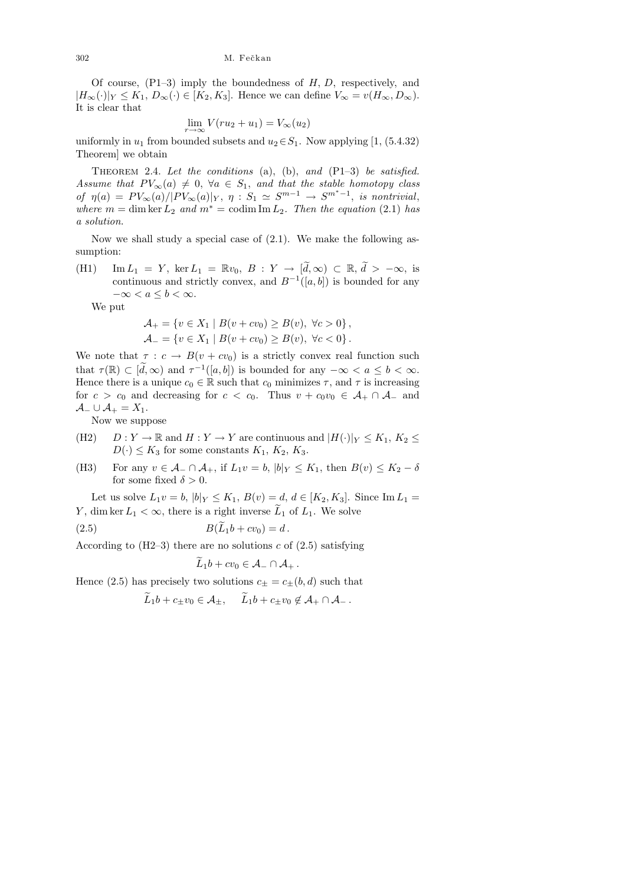Of course,  $(P1-3)$  imply the boundedness of  $H, D$ , respectively, and  $|H_{\infty}(\cdot)|_Y \leq K_1, D_{\infty}(\cdot) \in [K_2, K_3].$  Hence we can define  $V_{\infty} = v(H_{\infty}, D_{\infty}).$ It is clear that

$$
\lim_{r \to \infty} V(ru_2 + u_1) = V_{\infty}(u_2)
$$

uniformly in  $u_1$  from bounded subsets and  $u_2 \in S_1$ . Now applying [1, (5.4.32) Theorem] we obtain

THEOREM 2.4. Let the conditions (a), (b), and  $(P1-3)$  be satisfied. Assume that  $PV_{\infty}(a) \neq 0$ ,  $\forall a \in S_1$ , and that the stable homotopy class of  $\eta(a) = PV_{\infty}(a)/|PV_{\infty}(a)|_Y$ ,  $\eta: S_1 \simeq S^{m-1} \to S^{m^*-1}$ , is nontrivial, where  $m = \dim \ker L_2$  and  $m^* = \text{codim} \operatorname{Im} L_2$ . Then the equation (2.1) has a solution.

Now we shall study a special case of (2.1). We make the following assumption:

(H1) Im  $L_1 = Y$ , ker  $L_1 = \mathbb{R}v_0$ ,  $B: Y \to [\tilde{d}, \infty) \subset \mathbb{R}, \tilde{d} > -\infty$ , is continuous and strictly convex, and  $B^{-1}([a, b])$  is bounded for any  $-\infty < a \leq b < \infty$ .

We put

$$
\mathcal{A}_{+} = \{ v \in X_1 \mid B(v + cv_0) \ge B(v), \ \forall c > 0 \}, \mathcal{A}_{-} = \{ v \in X_1 \mid B(v + cv_0) \ge B(v), \ \forall c < 0 \}.
$$

We note that  $\tau : c \to B(v + cv_0)$  is a strictly convex real function such that  $\tau(\mathbb{R}) \subset [\tilde{d}, \infty)$  and  $\tau^{-1}([a, b])$  is bounded for any  $-\infty < a \leq b < \infty$ . Hence there is a unique  $c_0 \in \mathbb{R}$  such that  $c_0$  minimizes  $\tau$ , and  $\tau$  is increasing for  $c > c_0$  and decreasing for  $c < c_0$ . Thus  $v + c_0v_0 \in A_+ \cap A_-$  and  $\mathcal{A}_-\cup\mathcal{A}_+=X_1.$ 

Now we suppose

- (H2)  $D: Y \to \mathbb{R}$  and  $H: Y \to Y$  are continuous and  $|H(\cdot)|_Y \leq K_1, K_2 \leq$  $D(\cdot) \leq K_3$  for some constants  $K_1, K_2, K_3$ .
- (H3) For any  $v \in \mathcal{A}_- \cap \mathcal{A}_+$ , if  $L_1v = b$ ,  $|b|_Y \leq K_1$ , then  $B(v) \leq K_2 \delta$ for some fixed  $\delta > 0$ .

Let us solve  $L_1v = b$ ,  $|b|_Y \le K_1$ ,  $B(v) = d$ ,  $d \in [K_2, K_3]$ . Since Im  $L_1 =$ Y, dim ker  $L_1 < \infty$ , there is a right inverse  $L_1$  of  $L_1$ . We solve

(2.5)  $B(\widetilde{L}_1b + cv_0) = d$ .

According to  $(H2-3)$  there are no solutions c of  $(2.5)$  satisfying

$$
\tilde{L}_1b+cv_0\in \mathcal{A}_-\cap \mathcal{A}_+.
$$

Hence (2.5) has precisely two solutions  $c_{\pm} = c_{\pm}(b, d)$  such that

$$
L_1b + c_{\pm}v_0 \in \mathcal{A}_{\pm}, \quad L_1b + c_{\pm}v_0 \notin \mathcal{A}_{+} \cap \mathcal{A}_{-}.
$$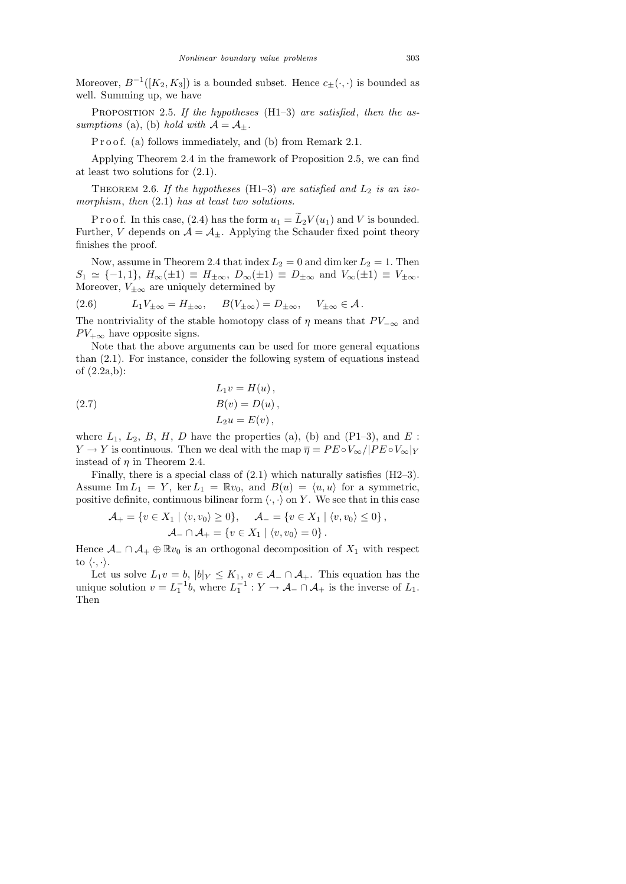Moreover,  $B^{-1}([K_2, K_3])$  is a bounded subset. Hence  $c_{\pm}(\cdot, \cdot)$  is bounded as well. Summing up, we have

PROPOSITION 2.5. If the hypotheses  $(H1-3)$  are satisfied, then the assumptions (a), (b) hold with  $\mathcal{A} = \mathcal{A}_{\pm}$ .

P r o o f. (a) follows immediately, and (b) from Remark 2.1.

Applying Theorem 2.4 in the framework of Proposition 2.5, we can find at least two solutions for (2.1).

THEOREM 2.6. If the hypotheses (H1–3) are satisfied and  $L_2$  is an isomorphism, then  $(2.1)$  has at least two solutions.

P r o o f. In this case, (2.4) has the form  $u_1 = \widetilde{L}_2 V(u_1)$  and V is bounded. Further, V depends on  $\mathcal{A} = \mathcal{A}_{\pm}$ . Applying the Schauder fixed point theory finishes the proof.

Now, assume in Theorem 2.4 that index  $L_2 = 0$  and dim ker  $L_2 = 1$ . Then  $S_1 \simeq \{-1, 1\}, H_{\infty}(\pm 1) \equiv H_{\pm \infty}, D_{\infty}(\pm 1) \equiv D_{\pm \infty}$  and  $V_{\infty}(\pm 1) \equiv V_{\pm \infty}$ . Moreover,  $V_{\pm\infty}$  are uniquely determined by

(2.6) 
$$
L_1 V_{\pm \infty} = H_{\pm \infty}, \quad B(V_{\pm \infty}) = D_{\pm \infty}, \quad V_{\pm \infty} \in \mathcal{A}.
$$

The nontriviality of the stable homotopy class of  $\eta$  means that  $PV_{-\infty}$  and  $PV_{+\infty}$  have opposite signs.

Note that the above arguments can be used for more general equations than (2.1). For instance, consider the following system of equations instead of (2.2a,b):

(2.7) 
$$
L_1 v = H(u),
$$

$$
B(v) = D(u),
$$

$$
L_2 u = E(v),
$$

where  $L_1$ ,  $L_2$ ,  $B$ ,  $H$ ,  $D$  have the properties (a), (b) and (P1–3), and  $E$ :  $Y \to Y$  is continuous. Then we deal with the map  $\overline{\eta} = PE \circ V_{\infty}/|PE \circ V_{\infty}|_Y$ instead of  $\eta$  in Theorem 2.4.

Finally, there is a special class of  $(2.1)$  which naturally satisfies  $(H2-3)$ . Assume Im  $L_1 = Y$ , ker  $L_1 = \mathbb{R}v_0$ , and  $B(u) = \langle u, u \rangle$  for a symmetric, positive definite, continuous bilinear form  $\langle \cdot, \cdot \rangle$  on Y. We see that in this case

$$
\mathcal{A}_+ = \{ v \in X_1 \mid \langle v, v_0 \rangle \ge 0 \}, \quad \mathcal{A}_- = \{ v \in X_1 \mid \langle v, v_0 \rangle \le 0 \},
$$
  

$$
\mathcal{A}_- \cap \mathcal{A}_+ = \{ v \in X_1 \mid \langle v, v_0 \rangle = 0 \}.
$$

Hence  $\mathcal{A}_-\cap\mathcal{A}_+\oplus\mathbb{R}v_0$  is an orthogonal decomposition of  $X_1$  with respect to  $\langle \cdot, \cdot \rangle$ .

Let us solve  $L_1v = b$ ,  $|b|_Y \leq K_1$ ,  $v \in \mathcal{A}_- \cap \mathcal{A}_+$ . This equation has the unique solution  $v = L_1^{-1}b$ , where  $L_1^{-1} : Y \to A_- \cap A_+$  is the inverse of  $L_1$ . Then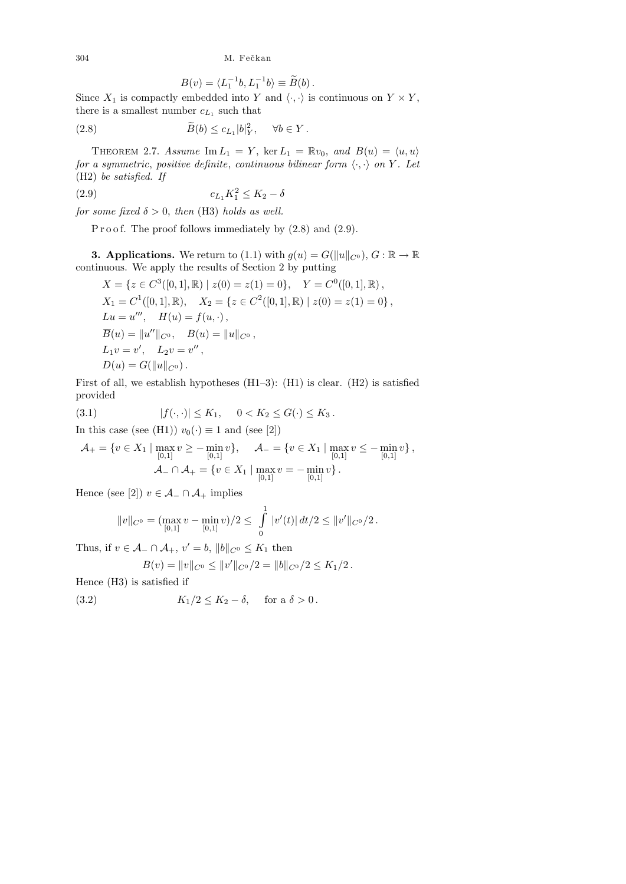304 M. Fečkan

$$
B(v) = \langle L_1^{-1}b, L_1^{-1}b \rangle \equiv \widetilde{B}(b).
$$

Since  $X_1$  is compactly embedded into Y and  $\langle \cdot, \cdot \rangle$  is continuous on  $Y \times Y$ , there is a smallest number  $c_{L_1}$  such that

(2.8) 
$$
\widetilde{B}(b) \leq c_{L_1}|b|_Y^2, \quad \forall b \in Y.
$$

THEOREM 2.7. Assume  $\text{Im } L_1 = Y$ , ker  $L_1 = \mathbb{R}v_0$ , and  $B(u) = \langle u, u \rangle$ for a symmetric, positive definite, continuous bilinear form  $\langle \cdot, \cdot \rangle$  on Y. Let (H2) be satisfied. If

(2.9) 
$$
c_{L_1} K_1^2 \le K_2 - \delta
$$

for some fixed  $\delta > 0$ , then (H3) holds as well.

P r o o f. The proof follows immediately by  $(2.8)$  and  $(2.9)$ .

**3. Applications.** We return to (1.1) with  $g(u) = G(||u||_{C^0}), G : \mathbb{R} \to \mathbb{R}$ continuous. We apply the results of Section 2 by putting

$$
X = \{ z \in C^{3}([0, 1], \mathbb{R}) \mid z(0) = z(1) = 0 \}, Y = C^{0}([0, 1], \mathbb{R}),
$$
  
\n
$$
X_{1} = C^{1}([0, 1], \mathbb{R}), X_{2} = \{ z \in C^{2}([0, 1], \mathbb{R}) \mid z(0) = z(1) = 0 \},
$$
  
\n
$$
Lu = u''', H(u) = f(u, \cdot),
$$
  
\n
$$
\overline{B}(u) = ||u''||_{C^{0}}, B(u) = ||u||_{C^{0}},
$$
  
\n
$$
L_{1}v = v', L_{2}v = v'',
$$
  
\n
$$
D(u) = G(||u||_{C^{0}}).
$$

First of all, we establish hypotheses (H1–3): (H1) is clear. (H2) is satisfied provided

(3.1) 
$$
|f(\cdot,\cdot)| \leq K_1, \quad 0 < K_2 \leq G(\cdot) \leq K_3.
$$

In this case (see (H1))  $v_0(\cdot) \equiv 1$  and (see [2])

$$
\mathcal{A}_{+} = \{ v \in X_1 \mid \max_{[0,1]} v \ge -\min_{[0,1]} v \}, \quad \mathcal{A}_{-} = \{ v \in X_1 \mid \max_{[0,1]} v \le -\min_{[0,1]} v \}, \mathcal{A}_{-} \cap \mathcal{A}_{+} = \{ v \in X_1 \mid \max_{[0,1]} v = -\min_{[0,1]} v \}.
$$

Hence (see [2])  $v \in \mathcal{A}_- \cap \mathcal{A}_+$  implies

$$
||v||_{C^0} = (\max_{[0,1]} v - \min_{[0,1]} v)/2 \le \int_0^1 |v'(t)| dt/2 \le ||v'||_{C^0}/2.
$$

Thus, if  $v \in \mathcal{A}$  –  $\cap \mathcal{A}$  +,  $v' = b$ ,  $||b||_{C^0} \leq K_1$  then

$$
B(v) = ||v||_{C^0} \le ||v'||_{C^0}/2 = ||b||_{C^0}/2 \le K_1/2.
$$

Hence (H3) is satisfied if

(3.2) 
$$
K_1/2 \leq K_2 - \delta, \quad \text{for a } \delta > 0.
$$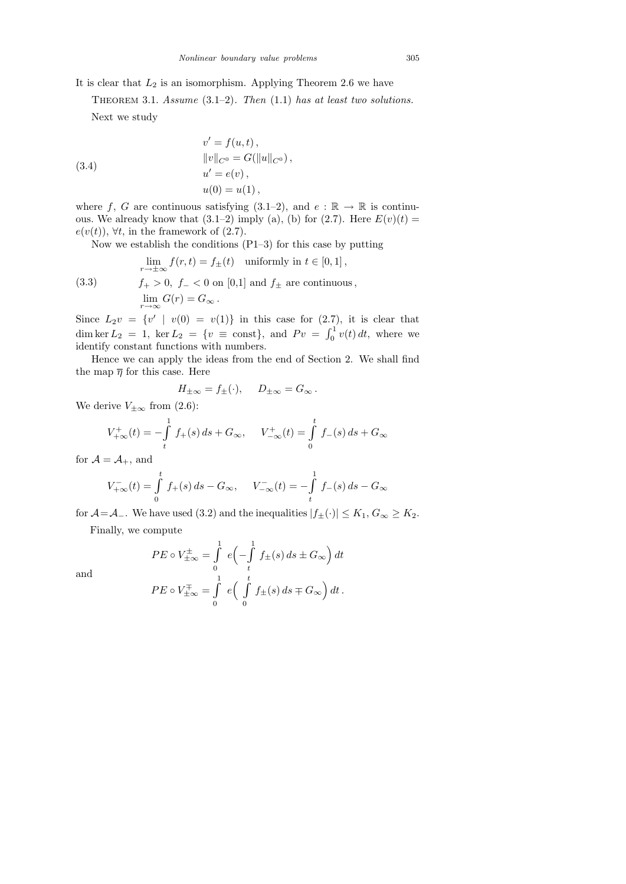THEOREM 3.1. Assume  $(3.1-2)$ . Then  $(1.1)$  has at least two solutions. Next we study

(3.4)  
\n
$$
v' = f(u, t),
$$
\n
$$
||v||_{C^{0}} = G(||u||_{C^{0}}),
$$
\n
$$
u' = e(v),
$$
\n
$$
u(0) = u(1),
$$

where f, G are continuous satisfying  $(3.1-2)$ , and  $e : \mathbb{R} \to \mathbb{R}$  is continuous. We already know that  $(3.1-2)$  imply  $(a)$ ,  $(b)$  for  $(2.7)$ . Here  $E(v)(t)$  $e(v(t))$ ,  $\forall t$ , in the framework of (2.7).

Now we establish the conditions  $(P1-3)$  for this case by putting

(3.3) 
$$
\lim_{r \to \pm \infty} f(r, t) = f_{\pm}(t) \text{ uniformly in } t \in [0, 1],
$$

$$
f_{+} > 0, f_{-} < 0 \text{ on } [0, 1] \text{ and } f_{\pm} \text{ are continuous,}
$$

$$
\lim_{r \to \infty} G(r) = G_{\infty}.
$$

Since  $L_2v = \{v' \mid v(0) = v(1)\}\$ in this case for  $(2.7)$ , it is clear that dim ker  $L_2 = 1$ , ker  $L_2 = \{v \equiv \text{const}\},$  and  $Pv = \int_0^1 v(t) dt$ , where we identify constant functions with numbers.

Hence we can apply the ideas from the end of Section 2. We shall find the map  $\overline{\eta}$  for this case. Here

$$
H_{\pm\infty} = f_{\pm}(\cdot), \quad D_{\pm\infty} = G_{\infty}.
$$

We derive  $V_{\pm\infty}$  from (2.6):

$$
V_{+\infty}^{+}(t) = -\int_{t}^{1} f_{+}(s) ds + G_{\infty}, \quad V_{-\infty}^{+}(t) = \int_{0}^{t} f_{-}(s) ds + G_{\infty}
$$

for  $\mathcal{A} = \mathcal{A}_+$ , and

$$
V_{+\infty}^{-}(t) = \int_{0}^{t} f_{+}(s) ds - G_{\infty}, \quad V_{-\infty}^{-}(t) = -\int_{t}^{1} f_{-}(s) ds - G_{\infty}
$$

for  $\mathcal{A} = \mathcal{A}_-$ . We have used (3.2) and the inequalities  $|f_{\pm}(\cdot)| \leq K_1, G_{\infty} \geq K_2$ .

Finally, we compute

and

$$
PE \circ V^{\pm}_{\pm \infty} = \int_{0}^{1} e \left( - \int_{t}^{1} f_{\pm}(s) ds \pm G_{\infty} \right) dt
$$
  

$$
PE \circ V^{\mp}_{\pm \infty} = \int_{0}^{1} e \left( \int_{0}^{t} f_{\pm}(s) ds \mp G_{\infty} \right) dt.
$$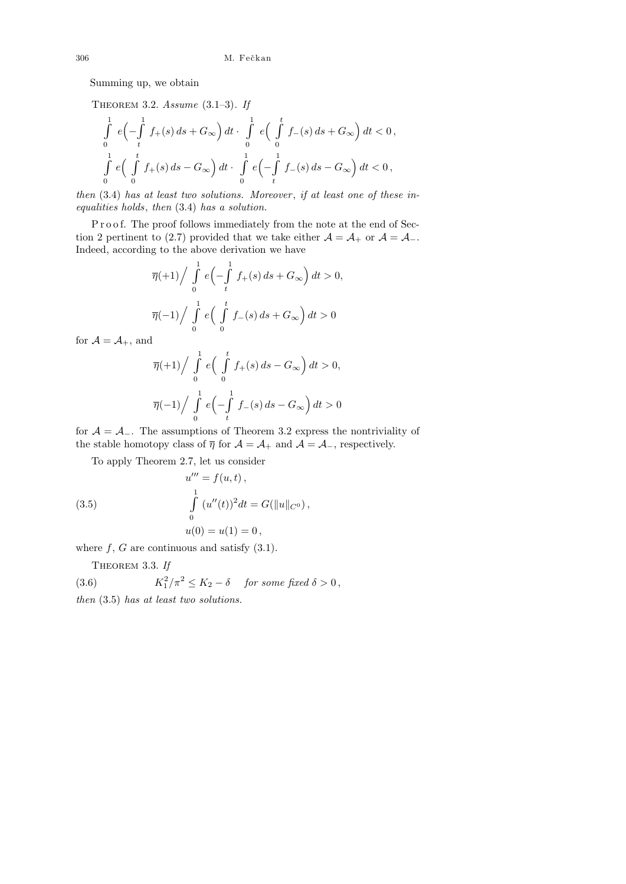Summing up, we obtain

THEOREM 3.2. Assume 
$$
(3.1-3)
$$
. *If*

$$
\int_{0}^{1} e\left(-\int_{t}^{1} f_{+}(s) ds + G_{\infty}\right) dt \cdot \int_{0}^{1} e\left(\int_{0}^{t} f_{-}(s) ds + G_{\infty}\right) dt < 0,
$$
  

$$
\int_{0}^{1} e\left(\int_{0}^{t} f_{+}(s) ds - G_{\infty}\right) dt \cdot \int_{0}^{1} e\left(-\int_{t}^{1} f_{-}(s) ds - G_{\infty}\right) dt < 0,
$$

then  $(3.4)$  has at least two solutions. Moreover, if at least one of these inequalities holds, then (3.4) has a solution.

Proof. The proof follows immediately from the note at the end of Section 2 pertinent to (2.7) provided that we take either  $\mathcal{A} = \mathcal{A}_+$  or  $\mathcal{A} = \mathcal{A}_-$ . Indeed, according to the above derivation we have

$$
\overline{\eta}(+1) / \int_{0}^{1} e\left(-\int_{t}^{1} f_{+}(s) ds + G_{\infty}\right) dt > 0,
$$
  

$$
\overline{\eta}(-1) / \int_{0}^{1} e\left(\int_{0}^{t} f_{-}(s) ds + G_{\infty}\right) dt > 0
$$

for  $\mathcal{A} = \mathcal{A}_+$ , and

$$
\overline{\eta}(+1) / \int_{0}^{1} e\left(\int_{0}^{t} f_{+}(s) ds - G_{\infty}\right) dt > 0,
$$
  

$$
\overline{\eta}(-1) / \int_{0}^{1} e\left(-\int_{t}^{1} f_{-}(s) ds - G_{\infty}\right) dt > 0
$$

for  $A = A_$ . The assumptions of Theorem 3.2 express the nontriviality of the stable homotopy class of  $\overline{\eta}$  for  $\mathcal{A} = \mathcal{A}_+$  and  $\mathcal{A} = \mathcal{A}_-$ , respectively.

To apply Theorem 2.7, let us consider

(3.5) 
$$
u''' = f(u, t),
$$

$$
\int_{0}^{1} (u''(t))^2 dt = G(||u||_{C^0}),
$$

$$
u(0) = u(1) = 0,
$$

where  $f, G$  are continuous and satisfy  $(3.1)$ .

THEOREM 3.3. If

 $(3.6)$  $\int_1^2/\pi^2 \leq K_2 - \delta$  for some fixed  $\delta > 0$ , then (3.5) has at least two solutions.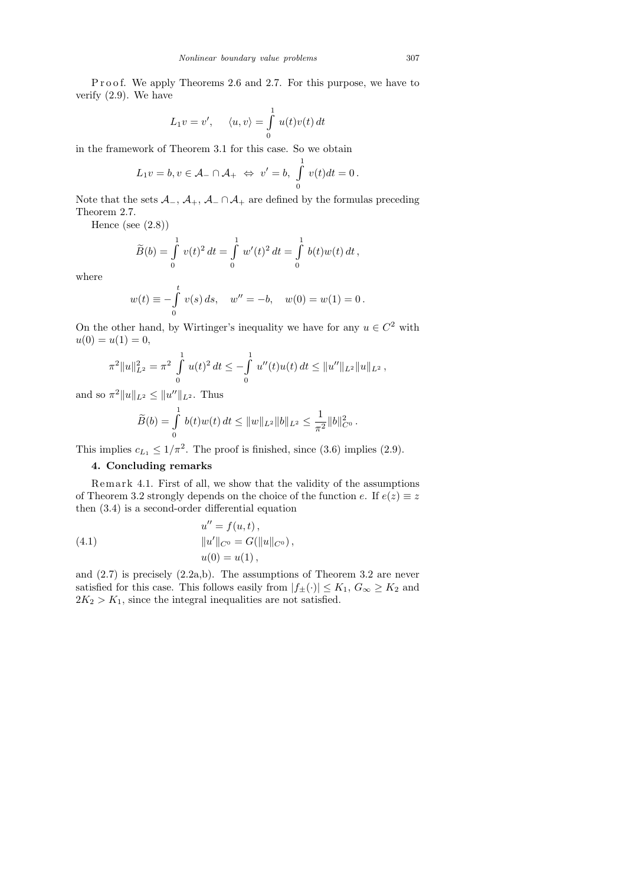Proof. We apply Theorems 2.6 and 2.7. For this purpose, we have to verify (2.9). We have

$$
L_1v = v', \quad \langle u, v \rangle = \int_0^1 u(t)v(t) dt
$$

in the framework of Theorem 3.1 for this case. So we obtain

$$
L_1v = b, v \in \mathcal{A}_- \cap \mathcal{A}_+ \iff v' = b, \int_0^1 v(t)dt = 0.
$$

Note that the sets  $\mathcal{A}_-, \mathcal{A}_+, \mathcal{A}_-\cap \mathcal{A}_+$  are defined by the formulas preceding Theorem 2.7.

Hence (see  $(2.8)$ )

$$
\widetilde{B}(b) = \int_{0}^{1} v(t)^{2} dt = \int_{0}^{1} w'(t)^{2} dt = \int_{0}^{1} b(t)w(t) dt,
$$

where

$$
w(t) \equiv -\int_{0}^{t} v(s) ds, \quad w'' = -b, \quad w(0) = w(1) = 0.
$$

On the other hand, by Wirtinger's inequality we have for any  $u \in C^2$  with  $u(0) = u(1) = 0,$ 

$$
\pi^{2}||u||_{L^{2}}^{2} = \pi^{2} \int_{0}^{1} u(t)^{2} dt \le -\int_{0}^{1} u''(t)u(t) dt \le ||u''||_{L^{2}}||u||_{L^{2}},
$$

and so  $\pi^2 ||u||_{L^2} \le ||u''||_{L^2}$ . Thus

$$
\widetilde{B}(b) = \int_{0}^{1} b(t)w(t) dt \leq ||w||_{L^{2}} ||b||_{L^{2}} \leq \frac{1}{\pi^{2}} ||b||_{C^{0}}^{2}.
$$

This implies  $c_{L_1} \leq 1/\pi^2$ . The proof is finished, since (3.6) implies (2.9).

## 4. Concluding remarks

Remark 4.1. First of all, we show that the validity of the assumptions of Theorem 3.2 strongly depends on the choice of the function e. If  $e(z) \equiv z$ then (3.4) is a second-order differential equation

 $\mathbf{u} = \mathbf{v}$ , the following

(4.1) 
$$
u'' = f(u, t),
$$

$$
||u'||_{C^0} = G(||u||_{C^0}),
$$

$$
u(0) = u(1),
$$

and (2.7) is precisely (2.2a,b). The assumptions of Theorem 3.2 are never satisfied for this case. This follows easily from  $|f_{\pm}(\cdot)| \leq K_1, G_{\infty} \geq K_2$  and  $2K_2 > K_1$ , since the integral inequalities are not satisfied.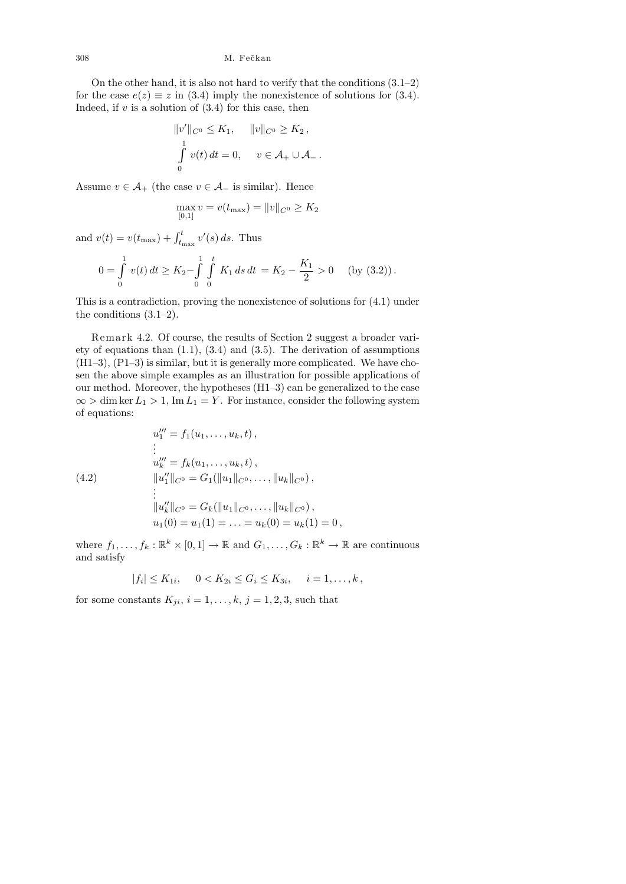On the other hand, it is also not hard to verify that the conditions  $(3.1-2)$ for the case  $e(z) \equiv z$  in (3.4) imply the nonexistence of solutions for (3.4). Indeed, if  $v$  is a solution of  $(3.4)$  for this case, then

$$
||v'||_{C^0} \le K_1, \quad ||v||_{C^0} \ge K_2,
$$
  

$$
\int_0^1 v(t) dt = 0, \quad v \in \mathcal{A}_+ \cup \mathcal{A}_-.
$$

Assume  $v \in \mathcal{A}_+$  (the case  $v \in \mathcal{A}_-$  is similar). Hence

$$
\max_{[0,1]} v = v(t_{\max}) = ||v||_{C^0} \ge K_2
$$

and  $v(t) = v(t_{\text{max}}) + \int_{t_{\text{max}}}^{t} v'(s) ds$ . Thus

$$
0 = \int_{0}^{1} v(t) dt \ge K_2 - \int_{0}^{1} \int_{0}^{t} K_1 ds dt = K_2 - \frac{K_1}{2} > 0 \quad \text{(by (3.2))}.
$$

This is a contradiction, proving the nonexistence of solutions for (4.1) under the conditions (3.1–2).

Remark 4.2. Of course, the results of Section 2 suggest a broader variety of equations than  $(1.1)$ ,  $(3.4)$  and  $(3.5)$ . The derivation of assumptions (H1–3), (P1–3) is similar, but it is generally more complicated. We have chosen the above simple examples as an illustration for possible applications of our method. Moreover, the hypotheses (H1–3) can be generalized to the case  $\infty > \dim \ker L_1 > 1$ , Im  $L_1 = Y$ . For instance, consider the following system of equations:

$$
u_1''' = f_1(u_1, \dots, u_k, t),
$$
  
\n
$$
\vdots
$$
  
\n
$$
u_k''' = f_k(u_1, \dots, u_k, t),
$$
  
\n
$$
||u_1''||_{C^0} = G_1(||u_1||_{C^0}, \dots, ||u_k||_{C^0}),
$$
  
\n
$$
\vdots
$$
  
\n
$$
||u_k''||_{C^0} = G_k(||u_1||_{C^0}, \dots, ||u_k||_{C^0}),
$$

$$
u_1(0) = u_1(1) = \dots = u_k(0) = u_k(1) = 0,
$$
  

$$
u_1(0) = u_1(1) = \dots = u_k(0) = u_k(1) = 0,
$$

where  $f_1, \ldots, f_k : \mathbb{R}^k \times [0,1] \to \mathbb{R}$  and  $G_1, \ldots, G_k : \mathbb{R}^k \to \mathbb{R}$  are continuous and satisfy

$$
|f_i| \le K_{1i}, \quad 0 < K_{2i} \le G_i \le K_{3i}, \quad i = 1, \ldots, k,
$$

for some constants  $K_{ji}$ ,  $i = 1, \ldots, k$ ,  $j = 1, 2, 3$ , such that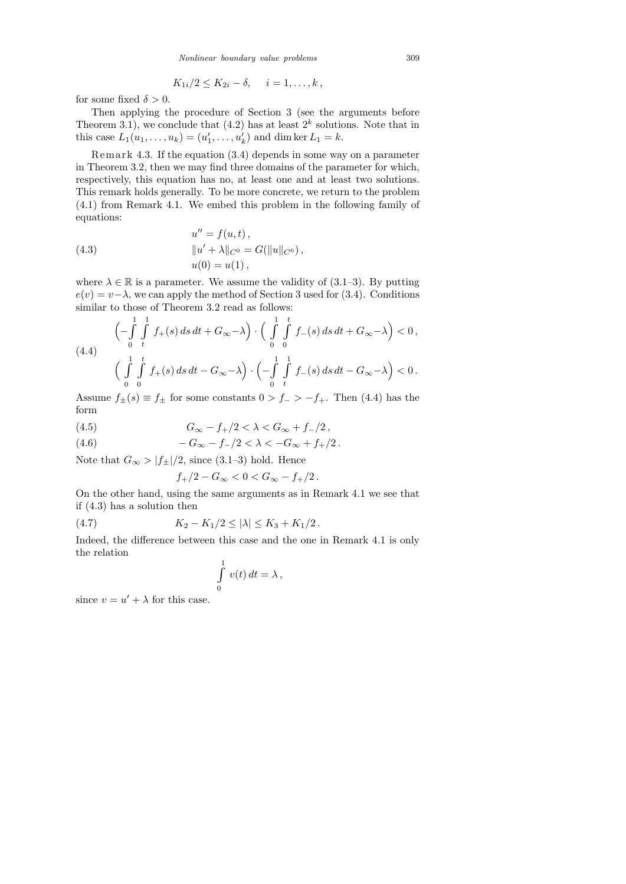$$
K_{1i}/2 \leq K_{2i} - \delta, \quad i = 1, \ldots, k,
$$

for some fixed  $\delta > 0$ .

Then applying the procedure of Section 3 (see the arguments before Theorem 3.1), we conclude that  $(4.2)$  has at least  $2<sup>k</sup>$  solutions. Note that in this case  $L_1(u_1, ..., u_k) = (u'_1, ..., u'_k)$  and dim ker  $L_1 = k$ .

Remark 4.3. If the equation  $(3.4)$  depends in some way on a parameter in Theorem 3.2, then we may find three domains of the parameter for which, respectively, this equation has no, at least one and at least two solutions. This remark holds generally. To be more concrete, we return to the problem (4.1) from Remark 4.1. We embed this problem in the following family of equations:

(4.3) 
$$
u'' = f(u, t),
$$

$$
||u' + \lambda||_{C^0} = G(||u||_{C^0}),
$$

$$
u(0) = u(1),
$$

where  $\lambda \in \mathbb{R}$  is a parameter. We assume the validity of (3.1–3). By putting  $e(v) = v - \lambda$ , we can apply the method of Section 3 used for (3.4). Conditions similar to those of Theorem 3.2 read as follows:

$$
\left(-\int_{0}^{1} \int_{t}^{1} f_{+}(s) ds dt + G_{\infty} - \lambda\right) \cdot \left(\int_{0}^{1} \int_{0}^{t} f_{-}(s) ds dt + G_{\infty} - \lambda\right) < 0,
$$
\n
$$
\left(\int_{0}^{1} \int_{0}^{t} f_{+}(s) ds dt - G_{\infty} - \lambda\right) \cdot \left(-\int_{0}^{1} \int_{t}^{1} f_{-}(s) ds dt - G_{\infty} - \lambda\right) < 0.
$$

Assume  $f_{\pm}(s) \equiv f_{\pm}$  for some constants  $0 > f_{-} > -f_{+}$ . Then (4.4) has the form

(4.5) 
$$
G_{\infty} - f_{+}/2 < \lambda < G_{\infty} + f_{-}/2,
$$

(4.6) 
$$
-G_{\infty} - f_{-}/2 < \lambda < -G_{\infty} + f_{+}/2.
$$

Note that  $G_{\infty} > |f_{\pm}|/2$ , since (3.1–3) hold. Hence

$$
f_{+}/2 - G_{\infty} < 0 < G_{\infty} - f_{+}/2 \, .
$$

On the other hand, using the same arguments as in Remark 4.1 we see that if (4.3) has a solution then

(4.7) 
$$
K_2 - K_1/2 \le |\lambda| \le K_3 + K_1/2.
$$

Indeed, the difference between this case and the one in Remark 4.1 is only the relation

$$
\int\limits_0^1 v(t)\,dt=\lambda\,,
$$

since  $v = u' + \lambda$  for this case.